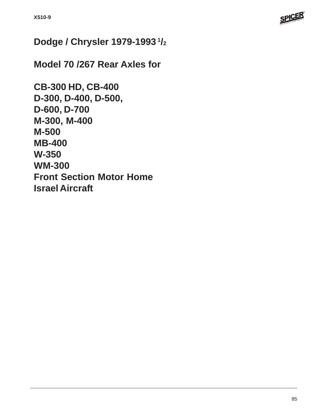

# **Dodge / Chrysler 1979-1993 1/2**

**Model 70 /267 Rear Axles for**

```
CB-300 HD, CB-400
D-300, D-400, D-500,
D-600, D-700
M-300, M-400
M-500
MB-400
W-350
WM-300
Front Section Motor Home
Israel Aircraft
```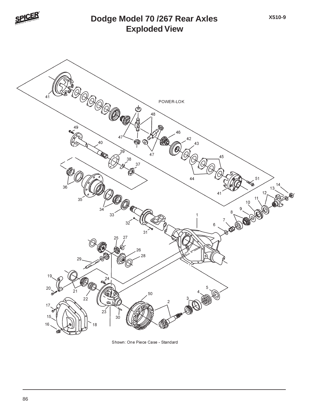

## **Exploded View Dodge Model 70 /267 Rear Axles**

**X510-9**



Shown: One Piece Case - Standard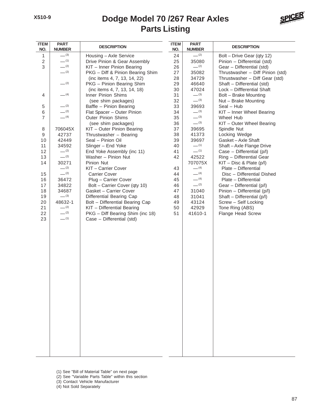# **Parts Listing Dodge Model 70 /267 Rear Axles**



| <b>ITEM</b><br>NO. | <b>PART</b><br><b>NUMBER</b> | <b>DESCRIPTION</b>               | <b>ITEM</b><br>NO. | <b>PART</b><br><b>NUMBER</b> | <b>DESCRIPTION</b>               |
|--------------------|------------------------------|----------------------------------|--------------------|------------------------------|----------------------------------|
| $\mathbf{1}$       | $-^{(3)}$                    | Housing - Axle Service           | 24                 | $-^{(2)}$                    | Bolt - Drive Gear (qty 12)       |
| $\overline{c}$     | $-^{(1)}$                    | Drive Pinion & Gear Assembly     | 25                 | 35080                        | Pinion - Differential (std)      |
| 3                  | $-^{(2)}$                    | KIT - Inner Pinion Bearing       | 26                 | $-^{(2)}$                    | Gear - Differential (std)        |
|                    | $-^{(2)}$                    | PKG - Diff & Pinion Bearing Shim | 27                 | 35082                        | Thrustwasher - Diff Pinion (std) |
|                    |                              | (inc items 4, 7, 13, 14, 22)     | 28                 | 34729                        | Thrustwasher - Diff Gear (std)   |
|                    | $-^{(2)}$                    | PKG - Pinion Bearing Shim        | 29                 | 46640                        | Shaft - Differential (std)       |
|                    |                              | (inc items 4, 7, 13, 14, 18)     | 30                 | 47024                        | Lock - Diffferential Shaft       |
| 4                  | $-$ (4)                      | Inner Pinion Shims               | 31                 | $-^{(3)}$                    | Bolt - Brake Mounting            |
|                    |                              | (see shim packages)              | 32                 | $-^{(3)}$                    | Nut - Brake Mounting             |
| 5                  | $-^{(2)}$                    | Baffle - Pinion Bearing          | 33                 | 39693                        | Seal - Hub                       |
| 6                  | $-^{(2)}$                    | Flat Spacer - Outer Pinion       | 34                 | $-^{(3)}$                    | KIT - Inner Wheel Bearing        |
| $\overline{7}$     | $- (4)$                      | <b>Outer Pinion Shims</b>        | 35                 | $-^{(3)}$                    | Wheel Hub                        |
|                    |                              | (see shim packages)              | 36                 | $-^{(3)}$                    | KIT - Outer Wheel Bearing        |
| 8                  | 706045X                      | KIT - Outer Pinion Bearing       | 37                 | 39695                        | Spindle Nut                      |
| 9                  | 42737                        | Thrustwasher - Bearing           | 38                 | 41373                        | Locking Wedge                    |
| 10                 | 42449                        | Seal - Pinion Oil                | 39                 | 39697                        | Gasket-Axle Shaft                |
| 11                 | 34592                        | Slinger - End Yoke               | 40                 | $-$ (1)                      | Shaft-Axle Flange Drive          |
| 12                 | $-^{(2)}$                    | End Yoke Assembly (inc 11)       | 41                 | $-$ (1)                      | Case - Differential (p/l)        |
| 13                 | $-^{(2)}$                    | Washer - Pinion Nut              | 42                 | 42522                        | Ring - Differential Gear         |
| 14                 | 30271                        | Pinion Nut                       |                    | 707075X                      | $KIT - Disc 8$ Plate (p/l)       |
|                    | $-^{(2)}$                    | KIT - Carrier Cover              | 43                 | $- (4)$                      | Plate - Differential             |
| 15                 | $-^{(2)}$                    | <b>Carrier Cover</b>             | 44                 | $-$ (4)                      | Disc - Differential Dished       |
| 16                 | 36472                        | Plug - Carrier Cover             | 45                 | $- (4)$                      | Plate - Differential             |
| 17                 | 34822                        | Bolt - Carrier Cover (qty 10)    | 46                 | $-^{(2)}$                    | Gear - Differential (p/l)        |
| 18                 | 34687                        | Gasket - Carrier Cover           | 47                 | 31040                        | Pinion - Differential (p/l)      |
| 19                 | $-^{(3)}$                    | Differential Bearing Cap         | 48                 | 31041                        | Shaft - Differential (p/l)       |
| 20                 | 48632-1                      | Bolt - Differential Bearing Cap  | 49                 | 43124                        | Screw - Self Locking             |
| 21                 | $-^{(2)}$                    | KIT - Differential Bearing       | 50                 | 42929                        | Tone Ring (ABS)                  |
| 22                 | $-^{(2)}$                    | PKG - Diff Bearing Shim (inc 18) | 51                 | 41610-1                      | Flange Head Screw                |
| 23                 | $-^{(1)}$                    | Case - Differential (std)        |                    |                              |                                  |
|                    |                              |                                  |                    |                              |                                  |
|                    |                              |                                  |                    |                              |                                  |
|                    |                              |                                  |                    |                              |                                  |
|                    |                              |                                  |                    |                              |                                  |
|                    |                              |                                  |                    |                              |                                  |
|                    |                              |                                  |                    |                              |                                  |
|                    |                              |                                  |                    |                              |                                  |
|                    |                              |                                  |                    |                              |                                  |
|                    |                              |                                  |                    |                              |                                  |
|                    |                              |                                  |                    |                              |                                  |
|                    |                              |                                  |                    |                              |                                  |
|                    |                              |                                  |                    |                              |                                  |
|                    |                              |                                  |                    |                              |                                  |
|                    |                              |                                  |                    |                              |                                  |
|                    |                              |                                  |                    |                              |                                  |
|                    |                              |                                  |                    |                              |                                  |
|                    |                              |                                  |                    |                              |                                  |
|                    |                              |                                  |                    |                              |                                  |
|                    |                              |                                  |                    |                              |                                  |
|                    |                              |                                  |                    |                              |                                  |
|                    |                              |                                  |                    |                              |                                  |
|                    |                              |                                  |                    |                              |                                  |
|                    |                              |                                  |                    |                              |                                  |
|                    |                              |                                  |                    |                              |                                  |

- (1) See "Bill of Material Table" on next page
- (2) See "Variable Parts Table" within this section
- (3) Contact Vehicle Manufacturer
- (4) Not Sold Separately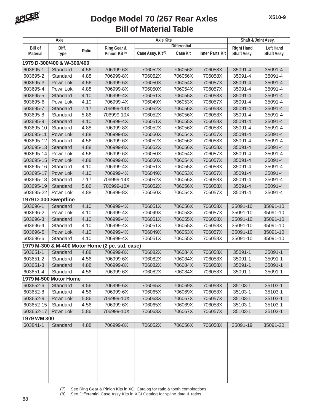

| Axle                 |                            | <b>Axle Kits</b> |                                                 |                               |                     | Shaft & Joint Assy.    |                   |                  |
|----------------------|----------------------------|------------------|-------------------------------------------------|-------------------------------|---------------------|------------------------|-------------------|------------------|
| <b>Bill of</b>       | Diff.                      |                  | Ring Gear &                                     |                               | <b>Differential</b> |                        | <b>Right Hand</b> | <b>Left Hand</b> |
| <b>Material</b>      | <b>Type</b>                | Ratio            | Pinion Kit <sup>(7)</sup>                       | Case Assy. Kit <sup>(8)</sup> | Case Kit            | <b>Inner Parts Kit</b> | Shaft Assy.       | Shaft Assy.      |
|                      | 1979 D-300/400 & W-300/400 |                  |                                                 |                               |                     |                        |                   |                  |
| 603695-1             | Standard                   | 4.56             | 706999-6X                                       | 706052X                       | 706056X             | 706058X                | 35091-4           | 35091-4          |
| 603695-2             | Standard                   | 4.88             | 706999-8X                                       | 706052X                       | 706056X             | 706058X                | 35091-4           | 35091-4          |
| 603695-3             | Powr Lok                   | 4.56             | 706999-6X                                       | 706050X                       | 706054X             | 706057X                | 35091-4           | 35091-4          |
| 603695-4             | Powr Lok                   | 4.88             | 706999-8X                                       | 706050X                       | 706054X             | 706057X                | 35091-4           | 35091-4          |
| 603695-5             | Standard                   | 4.10             | 706999-4X                                       | 706051X                       | 706055X             | 706058X                | 35091-4           | 35091-4          |
| 603695-6             | Powr Lok                   | 4.10             | 706999-4X                                       | 706049X                       | 706053X             | 706057X                | 35091-4           | 35091-4          |
| 603695-7             | Standard                   | 7.17             | 706999-14X                                      | 706052X                       | 706056X             | 706058X                | 35091-4           | 35091-4          |
| 603695-8             | Standard                   | 5.86             | 706999-10X                                      | 706052X                       | 706056X             | 706058X                | 35091-4           | 35091-4          |
| 603695-9             | Standard                   | 4.10             | 706999-4X                                       | 706051X                       | 706055X             | 706058X                | 35091-4           | 35091-4          |
| 603695-10            | Standard                   | 4.88             | 706999-8X                                       | 706052X                       | 706056X             | 706058X                | 35091-4           | 35091-4          |
| 603695-11            | Powr Lok                   | 4.88             | 706999-8X                                       | 706050X                       | 706054X             | 706057X                | 35091-4           | 35091-4          |
| 603695-12            | Standard                   | 4.56             | 706999-6X                                       | 706052X                       | 706056X             | 706058X                | 35091-4           | 35091-4          |
| 603695-13            | Standard                   | 4.88             | 706999-8X                                       | 706052X                       | 706056X             | 706058X                | 35091-4           | 35091-4          |
| 603695-14            | Powr Lok                   | 4.56             | 706999-6X                                       | 706050X                       | 706054X             | 706057X                | 35091-4           | 35091-4          |
| 603695-15            | Powr Lok                   | 4.88             | 706999-8X                                       | 706050X                       | 706054X             | 706057X                | 35091-4           | 35091-4          |
| 603695-16            | Standard                   | 4.10             | 706999-4X                                       | 706051X                       | 706055X             | 706058X                | 35091-4           | 35091-4          |
| 603695-17            | Powr Lok                   | 4.10             | 706999-4X                                       | 706049X                       | 706053X             | 706057X                | 35091-4           | 35091-4          |
| 603695-18            | Standard                   | 7.17             | 706999-14X                                      | 706052X                       | 706056X             | 706058X                | 35091-4           | 35091-4          |
| 603695-19            | Standard                   | 5.86             | 706999-10X                                      | 706052X                       | 706056X             | 706058X                | 35091-4           | 35091-4          |
| 603695-22            | Powr Lok                   | 4.88             | 706999-8X                                       | 706050X                       | 706054X             | 706057X                | 35091-4           | 35091-4          |
| 1979 D-300 Sweptline |                            |                  |                                                 |                               |                     |                        |                   |                  |
| 603696-1             | Standard                   | 4.10             | 706999-4X                                       | 706051X                       | 706056X             | 706058X                | 35091-10          | 35091-10         |
| 603696-2             | Powr Lok                   | 4.10             | 706999-4X                                       | 706049X                       | 706053X             | 706057X                | 35091-10          | 35091-10         |
| 603696-3             | Standard                   | 4.10             | 706999-4X                                       | 706051X                       | 706055X             | 706058X                | 35091-10          | 35091-10         |
| 603696-4             | Standard                   | 4.10             | 706999-4X                                       | 706051X                       | 706055X             | 706058X                | 35091-10          | 35091-10         |
| 603696-5             | Powr Lok                   | 4.10             | 706999-4X                                       | 706049X                       | 706053X             | 706057X                | 35091-10          | 35091-10         |
| 603696-6             | Standard                   | 4.10             | 706999-4X                                       | 706051X                       | 706055X             | 706058X                | 35091-10          | 35091-10         |
|                      |                            |                  | 1979 M-300 & M-400 Motor Home (2 pc. std. case) |                               |                     |                        |                   |                  |
| 603651-1             | Standard                   | 4.88             | 706999-8X                                       | 706082X                       | 706084X             | 706058X                | 35091-1           | 35091-1          |
| 603651-2             | Standard                   | 4.56             | 706999-6X                                       | 706082X                       | 706084X             | 706058X                | 35091-1           | 35091-1          |
| 603651-3             | Standard                   | 4.88             | 706999-8X                                       | 706082X                       | 706084X             | 706058X                | 35091-1           | 35091-1          |
| 603651-4             | Standard                   | 4.56             | 706999-6X                                       | 706082X                       | 706084X             | 706058X                | 35091-1           | 35091-1          |
|                      | 1979 M-500 Motor Home      |                  |                                                 |                               |                     |                        |                   |                  |
| 603652-6             | Standard                   | 4.56             | 706999-6X                                       | 706065X                       | 706069X             | 706058X                | 35103-1           | 35103-1          |
| 603652-8             | Standard                   | 4.56             | 706999-6X                                       | 706065X                       | 706069X             | 706058X                | 35103-1           | 35103-1          |
| 603652-9             | Powr Lok                   | 5.86             | 706999-10X                                      | 706063X                       | 706067X             | 706057X                | 35103-1           | 35103-1          |
| 603652-15            | Standard                   | 4.56             | 706999-6X                                       | 706065X                       | 706069X             | 706058X                | 35103-1           | 35103-1          |
| 603652-17            | Powr Lok                   | 5.86             | 706999-10X                                      | 706063X                       | 706067X             | 706057X                | 35103-1           | 35103-1          |
| 1979 WM 300          |                            |                  |                                                 |                               |                     |                        |                   |                  |
| 603841-1             | Standard                   | 4.88             | 706999-8X                                       | 706052X                       | 706056X             | 706058X                | 35091-19          | 35091-20         |
|                      |                            |                  |                                                 |                               |                     |                        |                   |                  |
|                      |                            |                  |                                                 |                               |                     |                        |                   |                  |
|                      |                            |                  |                                                 |                               |                     |                        |                   |                  |
|                      |                            |                  |                                                 |                               |                     |                        |                   |                  |
|                      |                            |                  |                                                 |                               |                     |                        |                   |                  |
|                      |                            |                  |                                                 |                               |                     |                        |                   |                  |
|                      |                            |                  |                                                 |                               |                     |                        |                   |                  |
|                      |                            |                  |                                                 |                               |                     |                        |                   |                  |
|                      |                            |                  |                                                 |                               |                     |                        |                   |                  |

(7) See Ring Gear & Pinion Kits in XGI Catalog for ratio & tooth combinations.

(8) See Differential Case Assy Kits in XGI Catalog for spline data & ratios.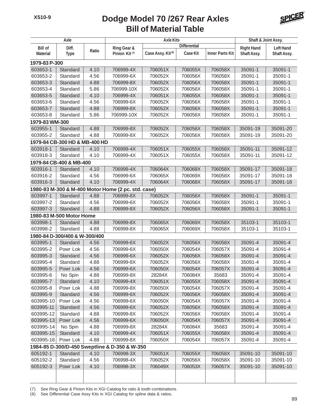

| Axle            |                               |       | <b>Axle Kits</b>                                   | Shaft & Joint Assy.           |                     |                        |                   |                  |
|-----------------|-------------------------------|-------|----------------------------------------------------|-------------------------------|---------------------|------------------------|-------------------|------------------|
| <b>Bill of</b>  | Diff.                         |       | Ring Gear &                                        |                               | <b>Differential</b> |                        | <b>Right Hand</b> | <b>Left Hand</b> |
| <b>Material</b> | <b>Type</b>                   | Ratio | Pinion Kit <sup>(7)</sup>                          | Case Assy. Kit <sup>(8)</sup> | <b>Case Kit</b>     | <b>Inner Parts Kit</b> | Shaft Assy.       | Shaft Assy.      |
| 1979-83 P-300   |                               |       |                                                    |                               |                     |                        |                   |                  |
| 603653-1        | Standard                      | 4.10  | 706999-4X                                          | 706051X                       | 706055X             | 706058X                | 35091-1           | 35091-1          |
| 603653-2        | Standard                      | 4.56  | 706999-6X                                          | 706052X                       | 706056X             | 706058X                | 35091-1           | 35091-1          |
| 603653-3        | Standard                      | 4.88  | 706999-8X                                          | 706052X                       | 706056X             | 706058X                | 35091-1           | 35091-1          |
| 603653-4        | Standard                      | 5.86  | 706999-10X                                         | 706052X                       | 706056X             | 706058X                | 35091-1           | 35091-1          |
| 603653-5        | Standard                      | 4.10  | 706999-4X                                          | 706051X                       | 706055X             | 706058X                | 35091-1           | 35091-1          |
| 603653-6        | Standard                      | 4.56  | 706999-6X                                          | 706052X                       | 706056X             | 706058X                | 35091-1           | 35091-1          |
| 603653-7        | Standard                      | 4.88  | 706999-8X                                          | 706052X                       | 706056X             | 706058X                | 35091-1           | 35091-1          |
| 603653-8        | Standard                      | 5.86  | 706999-10X                                         | 706052X                       | 706056X             | 706058X                | 35091-1           | 35091-1          |
| 1979-83 WM-300  |                               |       |                                                    |                               |                     |                        |                   |                  |
| 603955-1        | Standard                      | 4.88  | 706999-8X                                          | 706052X                       | 706056X             | 706058X                | 35091-19          | 35091-20         |
| 603955-2        | Standard                      | 4.88  | 706999-8X                                          | 706052X                       | 706056X             | 706058X                | 35091-19          | 35091-20         |
|                 | 1979-84 CB-300 HD & MB-400 HD |       |                                                    |                               |                     |                        |                   |                  |
| 603918-1        | Standard                      | 4.10  | 706999-4X                                          | 706051X                       | 706055X             | 706058X                | 35091-11          | 35091-12         |
| 603918-3        | Standard                      | 4.10  | 706999-4X                                          | 706051X                       | 706055X             | 706058X                | 35091-11          | 35091-12         |
|                 | 1979-84 CB-400 & MB-400       |       |                                                    |                               |                     |                        |                   |                  |
| 603916-1        | Standard                      | 4.10  | 706999-4X                                          | 706064X                       | 706068X             | 706058X                | 35091-17          | 35091-18         |
| 603916-2        | Standard                      | 4.56  | 706999-6X                                          | 706065X                       | 706069X             | 706058X                | 35091-17          | 35091-18         |
| 603916-3        | Standard                      | 4.10  | 706999-4X                                          | 706064X                       | 706068X             | 706058X                | 35091-17          | 35091-18         |
|                 |                               |       | 1980-83 M-300 & M-400 Motor Home (2 pc. std. case) |                               |                     |                        |                   |                  |
| 603997-1        | Standard                      | 4.88  | 706999-8X                                          | 706052X                       | 706056X             | 706058X                | 35091-1           | 35091-1          |
| 603997-2        | Standard                      | 4.56  | 706999-6X                                          | 706052X                       | 706056X             | 706058X                | 35091-1           | 35091-1          |
| 603997-3        | Standard                      | 4.88  | 706999-8X                                          | 706052X                       | 706056X             | 706058X                | 35091-1           | 35091-1          |
|                 | 1980-83 M-500 Motor Home      |       |                                                    |                               |                     |                        |                   |                  |
| 603998-1        | Standard                      | 4.88  | 706999-8X                                          | 706065X                       | 706069X             | 706058X                | 35103-1           | 35103-1          |
| 603998-2        | Standard                      | 4.88  | 706999-8X                                          | 706065X                       | 706069X             | 706058X                | 35103-1           | 35103-1          |
|                 | 1980-84 D-300/400 & W-300/400 |       |                                                    |                               |                     |                        |                   |                  |
| 603995-1        | Standard                      | 4.56  | 706999-6X                                          | 706052X                       | 706056X             | 706058X                | 35091-4           | 35091-4          |
| 603995-2        | Powr Lok                      | 4.56  | 706999-6X                                          | 706050X                       | 706054X             | 706057X                | 35091-4           | 35091-4          |
| 603995-3        | Standard                      | 4.56  | 706999-6X                                          | 706052X                       | 706056X             | 706058X                | 35091-4           | 35091-4          |
| 603995-4        | Standard                      | 4.88  | 706999-8X                                          | 706052X                       | 706056X             | 706058X                | 35091-4           | 35091-4          |
| 603995-5        | Powr Lok                      | 4.56  | 706999-6X                                          | 706050X                       | 706054X             | 706057X                | 35091-4           | 35091-4          |
| 603995-6        | No Spin                       | 4.88  | 706999-8X                                          | 28284X                        | 706084X             | 35683                  | 35091-4           | 35091-4          |
| 603995-7        | Standard                      | 4.10  | 706999-4X                                          | 706051X                       | 706055X             | 706058X                | 35091-4           | 35091-4          |
| 603995-8        | Powr Lok                      | 4.88  | 706999-8X                                          | 706050X                       | 706054X             | 706057X                | 35091-4           | 35091-4          |
| 603995-9        | Standard                      | 4.56  | 706999-6X                                          | 706052X                       | 706056X             | 706058X                | 35091-4           | 35091-4          |
| 603995-10       | Powr Lok                      | 4.56  | 706999-6X                                          | 706050X                       | 706054X             | 706057X                | 35091-4           | 35091-4          |
| 603995-11       | Standard                      | 4.56  | 706999-6X                                          | 706052X                       | 706056X             | 706058X                | 35091-4           | 35091-4          |
| 603995-12       | Standard                      | 4.88  | 706999-8X                                          | 706052X                       | 706056X             | 706058X                | 35091-4           | 35091-4          |
| 603995-13       | Powr Lok                      | 4.56  | 706999-6X                                          | 706050X                       | 706054X             | 706057X                | 35091-4           | 35091-4          |
| 603995-14       | No Spin                       | 4.88  | 706999-8X                                          | 28284X                        | 706084X             | 35683                  | 35091-4           | 35091-4          |
| 603995-15       | Standard                      | 4.10  | 706999-4X                                          | 706051X                       | 706055X             | 706058X                | 35091-4           | 35091-4          |
| 603995-16       | Powr Lok                      | 4.88  | 706999-8X                                          | 706050X                       | 706054X             | 706057X                | 35091-4           | 35091-4          |
|                 |                               |       | 1984-85 D-300/D-450 Sweptline & D-350 & W-350      |                               |                     |                        |                   |                  |
| 605192-1        | Standard                      | 4.10  | 706998-3X                                          | 706051X                       | 706055X             | 706058X                | 35091-10          | 35091-10         |
| 605192-2        | Standard                      | 4.56  | 706998-4X                                          | 706052X                       | 706056X             | 706058X                | 35091-10          | 35091-10         |
| 605192-3        | Powr Lok                      | 4.10  | 706998-3X                                          | 706049X                       | 706053X             | 706057X                | 35091-10          | 35091-10         |
|                 |                               |       |                                                    |                               |                     |                        |                   |                  |
|                 |                               |       |                                                    |                               |                     |                        |                   |                  |

(7) See Ring Gear & Pinion Kits in XGI Catalog for ratio & tooth combinations.

(8) See Differential Case Assy Kits in XGI Catalog for spline data & ratios.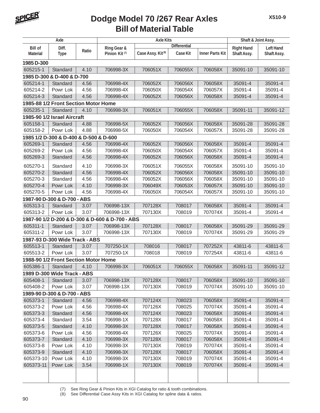

|                 | Axle                                   |       |                                                 | <b>Axle Kits</b>              |                     |                        | Shaft & Joint Assy. |                  |
|-----------------|----------------------------------------|-------|-------------------------------------------------|-------------------------------|---------------------|------------------------|---------------------|------------------|
| <b>Bill of</b>  | Diff.                                  |       | Ring Gear &                                     |                               | <b>Differential</b> |                        | <b>Right Hand</b>   | <b>Left Hand</b> |
| <b>Material</b> | <b>Type</b>                            | Ratio | Pinion Kit <sup>(7)</sup>                       | Case Assy. Kit <sup>(8)</sup> | Case Kit            | <b>Inner Parts Kit</b> | Shaft Assy.         | Shaft Assy.      |
| 1985 D-300      |                                        |       |                                                 |                               |                     |                        |                     |                  |
| 605215-1        | Standard                               | 4.10  | 706998-3X                                       | 706051X                       | 706055X             | 706058X                | 35091-10            | 35091-10         |
|                 | 1985 D-300 & D-400 & D-700             |       |                                                 |                               |                     |                        |                     |                  |
| 605214-1        | Standard                               | 4.56  | 706998-4X                                       | 706052X                       | 706056X             | 706058X                | 35091-4             | 35091-4          |
| 605214-2        | Powr Lok                               | 4.56  | 706998-4X                                       | 706050X                       | 706054X             | 706057X                | 35091-4             | 35091-4          |
| 605214-3        | Standard                               | 4.56  | 706998-4X                                       | 706052X                       | 706056X             | 706058X                | 35091-4             | 35091-4          |
|                 | 1985-88 1/2 Front Section Motor Home   |       |                                                 |                               |                     |                        |                     |                  |
| 605235-1        | Standard                               | 4.10  | 706998-3X                                       | 706051X                       | 706055X             | 706058X                | 35091-11            | 35091-12         |
|                 | 1985-90 1/2 Israel Aircraft            |       |                                                 |                               |                     |                        |                     |                  |
| 605158-1        | Standard                               | 4.88  | 706998-5X                                       | 706052X                       | 706056X             | 706058X                | 35091-28            | 35091-28         |
| 605158-2        | Powr Lok                               | 4.88  | 706998-5X                                       | 706050X                       | 706054X             | 706057X                | 35091-28            | 35091-28         |
|                 | 1985 1/2 D-300 & D-400 & D-500 & D-600 |       |                                                 |                               |                     |                        |                     |                  |
| 605269-1        | Standard                               | 4.56  | 706998-4X                                       | 706052X                       | 706056X             | 706058X                | 35091-4             | 35091-4          |
| 605269-2        | Powr Lok                               | 4.56  | 706998-4X                                       | 706050X                       | 706054X             | 706057X                | 35091-4             | 35091-4          |
| 605269-3        | Standard                               | 4.56  | 706998-4X                                       | 706052X                       | 706056X             | 706058X                | 35091-4             | 35091-4          |
| 605270-1        | Standard                               | 4.10  | 706998-3X                                       | 706051X                       | 706055X             | 706058X                | 35091-10            | 35091-10         |
| 605270-2        | Standard                               | 4.56  | 706998-4X                                       | 706052X                       | 706056X             | 706058X                | 35091-10            | 35091-10         |
| 605270-3        | Standard                               | 4.56  | 706998-4X                                       | 706052X                       | 706056X             | 706058X                | 35091-10            | 35091-10         |
| 605270-4        | Powr Lok                               | 4.10  | 706998-3X                                       | 706049X                       | 706053X             | 706057X                | 35091-10            | 35091-10         |
| 605270-5        | Powr Lok                               | 4.56  | 706998-4X                                       | 706050X                       | 706054X             | 706057X                | 35091-10            | 35091-10         |
|                 | 1987-90 D-300 & D-700 - ABS            |       |                                                 |                               |                     |                        |                     |                  |
| 605313-1        | Standard                               | 3.07  | 706998-13X                                      | 707128X                       | 708017              | 706058X                | 35091-4             | 35091-4          |
| 605313-2        | Powr Lok                               | 3.07  | 706998-13X                                      | 707130X                       | 708019              | 707074X                | 35091-4             | 35091-4          |
|                 |                                        |       | 1987-90 1/2 D-200 & D-300 & D-600 & D-700 - ABS |                               |                     |                        |                     |                  |
| 605311-1        | Standard                               | 3.07  | 706998-13X                                      | 707128X                       | 708017              | 706058X                | 35091-29            | 35091-29         |
| 605311-2        | Powr Lok                               | 3.07  | 706998-13X                                      | 707130X                       | 708019              | 707074X                | 35091-29            | 35091-29         |
|                 | 1987-93 D-300 Wide Track - ABS         |       |                                                 |                               |                     |                        |                     |                  |
| 605513-1        | Standard                               | 3.07  | 707250-1X                                       | 708016                        | 708017              | 707252X                | 43811-6             | 43811-6          |
| 605513-2        | Powr Lok                               | 3.07  | 707250-1X                                       | 708018                        | 708019              | 707254X                | 43811-6             | 43811-6          |
|                 | 1988-90 1/2 Front Section Motor Home   |       |                                                 |                               |                     |                        |                     |                  |
| 605386-1        | Standard                               | 4.10  | 706998-3X                                       | 706051X                       | 706055X             | 706058X                | 35091-11            | 35091-12         |
|                 | 1989 D-300 Wide Track - ABS            |       |                                                 |                               |                     |                        |                     |                  |
| 605408-1        | Standard                               | 3.07  | 706998-13X                                      | 707128X                       | 708017              | 706058X                | 35091-10            | 35091-10         |
| 605408-2        | Powr Lok                               | 3.07  | 706998-13X                                      | 707130X                       | 708019              | 707074X                | 35091-10            | 35091-10         |
|                 | 1989-90 D-300 & D-700 - ABS            |       |                                                 |                               |                     |                        |                     |                  |
| 605373-1        | Standard                               | 4.56  | 706998-4X                                       | 707124X                       | 708023              | 706058X                | 35091-4             | 35091-4          |
| 605373-2        | Powr Lok                               | 4.56  | 706998-4X                                       | 707126X                       | 708025              | 707074X                | 35091-4             | 35091-4          |
| 605373-3        | Standard                               | 4.56  | 706998-4X                                       | 707124X                       | 708023              | 706058X                | 35091-4             | 35091-4          |
| 605373-4        | Standard                               | 3.54  | 706998-1X                                       | 707128X                       | 708017              | 706058X                | 35091-4             | 35091-4          |
| 605373-5        | Standard                               | 4.10  | 706998-3X                                       | 707128X                       | 708017              | 706058X                | 35091-4             | 35091-4          |
| 605373-6        | Powr Lok                               | 4.56  | 706998-4X                                       | 707126X                       | 708025              | 707074X                | 35091-4             | 35091-4          |
| 605373-7        | Standard                               | 4.10  | 706998-3X                                       | 707128X                       | 708017              | 706058X                | 35091-4             | 35091-4          |
| 605373-8        | Powr Lok                               | 4.10  | 706998-3X                                       | 707130X                       | 708019              | 707074X                | 35091-4             | 35091-4          |
| 605373-9        | Standard                               | 4.10  | 706998-3X                                       | 707128X                       | 708017              | 706058X                | 35091-4             | 35091-4          |
| 605373-10       | Powr Lok                               | 4.10  | 706998-3X                                       | 707130X                       | 708019              | 707074X                | 35091-4             | 35091-4          |
| 605373-11       | Powr Lok                               | 3.54  | 706998-1X                                       | 707130X                       | 708019              | 707074X                | 35091-4             | 35091-4          |
|                 |                                        |       |                                                 |                               |                     |                        |                     |                  |
|                 |                                        |       |                                                 |                               |                     |                        |                     |                  |

(7) See Ring Gear & Pinion Kits in XGI Catalog for ratio & tooth combinations.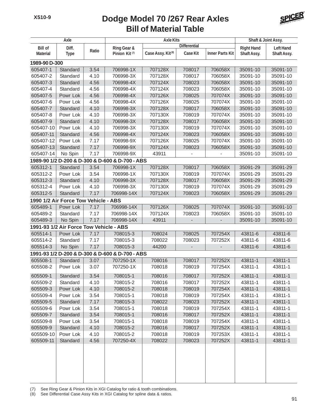

| Axle                 |                                         | <b>Axle Kits</b> |                                                 |                               |                     | Shaft & Joint Assy.    |                    |                    |
|----------------------|-----------------------------------------|------------------|-------------------------------------------------|-------------------------------|---------------------|------------------------|--------------------|--------------------|
| <b>Bill of</b>       | Diff.                                   |                  | Ring Gear &                                     |                               | <b>Differential</b> |                        | <b>Right Hand</b>  | <b>Left Hand</b>   |
| <b>Material</b>      | <b>Type</b>                             | Ratio            | Pinion Kit <sup>(7)</sup>                       | Case Assy. Kit <sup>(8)</sup> | <b>Case Kit</b>     | <b>Inner Parts Kit</b> | Shaft Assy.        | Shaft Assy.        |
| 1989-90 D-300        |                                         |                  |                                                 |                               |                     |                        |                    |                    |
| 605407-1             | Standard                                | 3.54             | 706998-1X                                       | 707128X                       | 708017              | 706058X                | 35091-10           | 35091-10           |
| 605407-2             | Standard                                | 4.10             | 706998-3X                                       | 707128X                       | 708017              | 706058X                | 35091-10           | 35091-10           |
| 605407-3             | Standard                                | 4.56             | 706998-4X                                       | 707124X                       | 708023              | 706058X                | 35091-10           | 35091-10           |
| 605407-4             | Standard                                | 4.56             | 706998-4X                                       | 707124X                       | 708023              | 706058X                | 35091-10           | 35091-10           |
| 605407-5             | Powr Lok                                | 4.56             | 706998-4X                                       | 707126X                       | 708025              | 707074X                | 35091-10           | 35091-10           |
| 605407-6             | Powr Lok                                | 4.56             | 706998-4X                                       | 707126X                       | 708025              | 707074X                | 35091-10           | 35091-10           |
| 605407-7             | Standard                                | 4.10             | 706998-3X                                       | 707128X                       | 708017              | 706058X                | 35091-10           | 35091-10           |
| 605407-8             | Powr Lok                                | 4.10             | 706998-3X                                       | 707130X                       | 708019              | 707074X                | 35091-10           | 35091-10           |
| 605407-9             | Standard                                | 4.10             | 706998-3X                                       | 707128X                       | 708017              | 706058X                | 35091-10           | 35091-10           |
| 605407-10            | Powr Lok                                | 4.10             | 706998-3X                                       | 707130X                       | 708019              | 707074X                | 35091-10           | 35091-10           |
| 605407-11            | Standard                                | 4.56             | 706998-4X                                       | 707124X                       | 708023              | 706058X                | 35091-10           | 35091-10           |
| 605407-12            | Powr Lok                                | 7.17             | 706998-9X                                       | 707126X                       | 708025              | 707074X                | 35091-10           | 35091-10           |
| 605407-13            | Standard                                | 7.17             | 706998-9X                                       | 707124X                       | 708023              | 706058X                | 35091-10           | 35091-10           |
| 605407-14            | No Spin                                 | 7.17             | 706998-9X                                       | 43911                         |                     |                        | 35091-10           | 35091-10           |
|                      |                                         |                  | 1989-90 1/2 D-200 & D-300 & D-600 & D-700 - ABS |                               |                     |                        |                    |                    |
| 605312-1             | Standard                                | 3.54             | 706998-1X                                       | 707128X                       | 708017              | 706058X                | 35091-29           | 35091-29           |
| 605312-2             | Powr Lok                                | 3.54             | 706998-1X                                       | 707130X                       | 708019              | 707074X                | 35091-29           | 35091-29           |
| 605312-3             | Standard                                | 4.10             | 706998-3X                                       | 707128X                       | 708017              | 706058X                | 35091-29           | 35091-29           |
| 605312-4             | Powr Lok                                | 4.10             | 706998-3X                                       | 707130X                       | 708019              | 707074X                | 35091-29           | 35091-29           |
| 605312-5             | Standard                                | 7.17             | 706998-14X                                      | 707124X                       | 708023              | 706058X                | 35091-29           | 35091-29           |
|                      | 1990 1/2 Air Force Tow Vehicle - ABS    |                  |                                                 |                               |                     |                        |                    |                    |
| 605489-1             | Powr Lok                                | 7.17             | 706998-14X                                      | 707126X                       | 708025              | 707074X                | 35091-10           | 35091-10           |
| 605489-2             | Standard                                | 7.17             | 706998-14X                                      | 707124X                       | 708023              | 706058X                | 35091-10           | 35091-10           |
| 605489-3             | No Spin                                 | 7.17             | 706998-14X                                      | 43911                         |                     |                        | 35091-10           | 35091-10           |
|                      | 1991-93 1/2 Air Force Tow Vehicle - ABS |                  |                                                 |                               |                     |                        |                    |                    |
| 605514-1             | Powr Lok                                | 7.17             | 708015-3                                        | 708024                        | 708025              | 707254X                | 43811-6            | 43811-6            |
| 605514-2             | Standard                                | 7.17             | 708015-3                                        | 708022                        | 708023              | 707252X                | 43811-6            | 43811-6            |
| 605514-3             | No Spin                                 | 7.17             | 708015-3                                        | 44200                         |                     |                        | 43811-6            | 43811-6            |
|                      |                                         |                  | 1991-93 1/2 D-200 & D-300 & D-600 & D-700 - ABS |                               |                     |                        |                    |                    |
| 605508-1             | Standard                                | 3.07             | 707250-1X                                       | 708016                        | 708017              | 707252X                | 43811-1            | 43811-1            |
| 605508-2             | Powr Lok                                | 3.07             | 707250-1X                                       | 708018                        | 708019              | 707254X                | 43811-1            | 43811-1            |
|                      |                                         |                  | 708015-1                                        | 708016                        |                     |                        |                    |                    |
| 605509-1<br>605509-2 | Standard                                | 3.54             | 708015-2                                        | 708016                        | 708017<br>708017    | 707252X<br>707252X     | 43811-1<br>43811-1 | 43811-1<br>43811-1 |
|                      | Standard                                | 4.10             |                                                 |                               |                     |                        |                    |                    |
| 605509-3<br>605509-4 | Powr Lok                                | 4.10             | 708015-2<br>708015-1                            | 708018<br>708018              | 708019<br>708019    | 707254X<br>707254X     | 43811-1            | 43811-1<br>43811-1 |
| 605509-5             | Powr Lok<br>Standard                    | 3.54<br>7.17     | 708015-3                                        | 708022                        | 708023              | 707252X                | 43811-1<br>43811-1 | 43811-1            |
| 605509-6             | Powr Lok                                | 3.54             | 708015-1                                        | 708018                        | 708019              | 707254X                | 43811-1            | 43811-1            |
| 605509-7             | Standard                                | 3.54             | 708015-1                                        | 708016                        | 708017              | 707252X                | 43811-1            | 43811-1            |
| 605509-8             | Powr Lok                                | 3.54             | 708015-1                                        | 708018                        | 708019              | 707254X                | 43811-1            | 43811-1            |
| 605509-9             | Standard                                | 4.10             | 708015-2                                        | 708016                        | 708017              | 707252X                | 43811-1            | 43811-1            |
| 605509-10            | Powr Lok                                | 4.10             | 708015-2                                        | 708018                        | 708019              | 707253X                | 43811-1            | 43811-1            |
| 605509-11            |                                         |                  | 707250-4X                                       | 708022                        | 708023              | 707252X                | 43811-1            |                    |
|                      | Standard                                | 4.56             |                                                 |                               |                     |                        |                    | 43811-1            |
|                      |                                         |                  |                                                 |                               |                     |                        |                    |                    |
|                      |                                         |                  |                                                 |                               |                     |                        |                    |                    |
|                      |                                         |                  |                                                 |                               |                     |                        |                    |                    |

(7) See Ring Gear & Pinion Kits in XGI Catalog for ratio & tooth combinations.

(8) See Differential Case Assy Kits in XGI Catalog for spline data & ratios.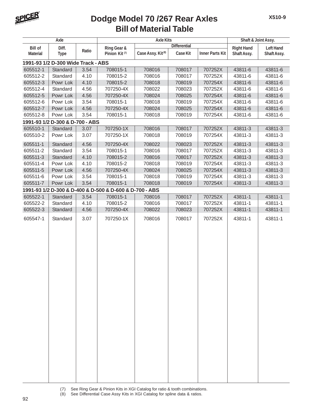

| <b>Axle</b>     |                                    | <b>Axle Kits</b> |                                                         |                               |                     | Shaft & Joint Assy.    |                   |                  |
|-----------------|------------------------------------|------------------|---------------------------------------------------------|-------------------------------|---------------------|------------------------|-------------------|------------------|
| <b>Bill of</b>  | Diff.                              |                  | Ring Gear &                                             |                               | <b>Differential</b> |                        | <b>Right Hand</b> | <b>Left Hand</b> |
| <b>Material</b> | <b>Type</b>                        | Ratio            | Pinion Kit <sup>(7)</sup>                               | Case Assy. Kit <sup>(8)</sup> | Case Kit            | <b>Inner Parts Kit</b> | Shaft Assy.       | Shaft Assy.      |
|                 | 1991-93 1/2 D-300 Wide Track - ABS |                  |                                                         |                               |                     |                        |                   |                  |
| 605512-1        | Standard                           | 3.54             | 708015-1                                                | 708016                        | 708017              | 707252X                | 43811-6           | 43811-6          |
| 605512-2        | Standard                           | 4.10             | 708015-2                                                | 708016                        | 708017              | 707252X                | 43811-6           | 43811-6          |
| 605512-3        | Powr Lok                           | 4.10             | 708015-2                                                | 708018                        | 708019              | 707254X                | 43811-6           | 43811-6          |
| 605512-4        | Standard                           | 4.56             | 707250-4X                                               | 708022                        | 708023              | 707252X                | 43811-6           | 43811-6          |
| 605512-5        | Powr Lok                           | 4.56             | 707250-4X                                               | 708024                        | 708025              | 707254X                | 43811-6           | 43811-6          |
| 605512-6        | Powr Lok                           | 3.54             | 708015-1                                                | 708018                        | 708019              | 707254X                | 43811-6           | 43811-6          |
| 605512-7        | Powr Lok                           | 4.56             | 707250-4X                                               | 708024                        | 708025              | 707254X                | 43811-6           | 43811-6          |
| 605512-8        | Powr Lok                           | 3.54             | 708015-1                                                | 708018                        | 708019              | 707254X                | 43811-6           | 43811-6          |
|                 | 1991-93 1/2 D-300 & D-700 - ABS    |                  |                                                         |                               |                     |                        |                   |                  |
| 605510-1        | Standard                           | 3.07             | 707250-1X                                               | 708016                        | 708017              | 707252X                | 43811-3           | 43811-3          |
| 605510-2        | Powr Lok                           | 3.07             | 707250-1X                                               | 708018                        | 708019              | 707254X                | 43811-3           | 43811-3          |
| 605511-1        | Standard                           | 4.56             | 707250-4X                                               | 708022                        | 708023              | 707252X                | 43811-3           | 43811-3          |
| 605511-2        | Standard                           | 3.54             | 708015-1                                                | 708016                        | 708017              | 707252X                | 43811-3           | 43811-3          |
| 605511-3        | Standard                           | 4.10             | 708015-2                                                | 708016                        | 708017              | 707252X                | 43811-3           | 43811-3          |
| 605511-4        | Powr Lok                           | 4.10             | 708015-2                                                | 708018                        | 708019              | 707254X                | 43811-3           | 43811-3          |
| 605511-5        | Powr Lok                           | 4.56             | 707250-4X                                               | 708024                        | 708025              | 707254X                | 43811-3           | 43811-3          |
| 605511-6        | Powr Lok                           | 3.54             | 708015-1                                                | 708018                        | 708019              | 707254X                | 43811-3           | 43811-3          |
| 605511-7        | Powr Lok                           | 3.54             | 708015-1                                                | 708018                        | 708019              | 707254X                | 43811-3           | 43811-3          |
|                 |                                    |                  | 1991-93 1/2 D-300 & D-400 & D-500 & D-600 & D-700 - ABS |                               |                     |                        |                   |                  |
| 605522-1        | Standard                           | 3.54             | 708015-1                                                | 708016                        | 708017              | 707252X                | 43811-1           | 43811-1          |
| 605522-2        | Standard                           | 4.10             | 708015-2                                                | 708016                        | 708017              | 707252X                | 43811-1           | 43811-1          |
| 605522-3        | Standard                           | 4.56             | 707250-4X                                               | 708022                        | 708023              | 707252X                | 43811-1           | 43811-1          |
| 605547-1        | Standard                           | 3.07             | 707250-1X                                               | 708016                        | 708017              | 707252X                | 43811-1           | 43811-1          |
|                 |                                    |                  |                                                         |                               |                     |                        |                   |                  |
|                 |                                    |                  |                                                         |                               |                     |                        |                   |                  |
|                 |                                    |                  |                                                         |                               |                     |                        |                   |                  |
|                 |                                    |                  |                                                         |                               |                     |                        |                   |                  |
|                 |                                    |                  |                                                         |                               |                     |                        |                   |                  |
|                 |                                    |                  |                                                         |                               |                     |                        |                   |                  |
|                 |                                    |                  |                                                         |                               |                     |                        |                   |                  |
|                 |                                    |                  |                                                         |                               |                     |                        |                   |                  |
|                 |                                    |                  |                                                         |                               |                     |                        |                   |                  |
|                 |                                    |                  |                                                         |                               |                     |                        |                   |                  |
|                 |                                    |                  |                                                         |                               |                     |                        |                   |                  |
|                 |                                    |                  |                                                         |                               |                     |                        |                   |                  |
|                 |                                    |                  |                                                         |                               |                     |                        |                   |                  |
|                 |                                    |                  |                                                         |                               |                     |                        |                   |                  |
|                 |                                    |                  |                                                         |                               |                     |                        |                   |                  |
|                 |                                    |                  |                                                         |                               |                     |                        |                   |                  |
|                 |                                    |                  |                                                         |                               |                     |                        |                   |                  |
|                 |                                    |                  |                                                         |                               |                     |                        |                   |                  |
|                 |                                    |                  |                                                         |                               |                     |                        |                   |                  |
|                 |                                    |                  |                                                         |                               |                     |                        |                   |                  |
|                 |                                    |                  |                                                         |                               |                     |                        |                   |                  |
|                 |                                    |                  |                                                         |                               |                     |                        |                   |                  |
|                 |                                    |                  |                                                         |                               |                     |                        |                   |                  |
|                 |                                    |                  |                                                         |                               |                     |                        |                   |                  |

- (7) See Ring Gear & Pinion Kits in XGI Catalog for ratio & tooth combinations.
- (8) See Differential Case Assy Kits in XGI Catalog for spline data & ratios.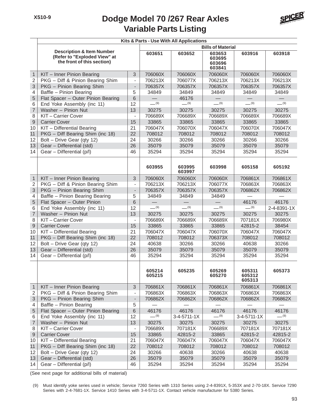#### **Variable Parts Listing Dodge Model 70 /267 Rear Axles**



|                | Kits & Parts - Use With All Applications                                                           |                              |                          |                  |                                      |                            |             |  |  |  |  |
|----------------|----------------------------------------------------------------------------------------------------|------------------------------|--------------------------|------------------|--------------------------------------|----------------------------|-------------|--|--|--|--|
|                |                                                                                                    |                              | <b>Bills of Material</b> |                  |                                      |                            |             |  |  |  |  |
|                | <b>Description &amp; Item Number</b><br>(Refer to "Exploded View" at<br>the front of this section) |                              | 603651                   | 603652           | 603653<br>603695<br>603696<br>603841 | 603916                     | 603918      |  |  |  |  |
| $\mathbf{1}$   | KIT - Inner Pinion Bearing                                                                         | 3                            | 706060X                  | 706060X          | 706060X                              | 706060X                    | 706060X     |  |  |  |  |
| $\overline{2}$ | PKG - Diff & Pinion Bearing Shim                                                                   | $\overline{\phantom{a}}$     | 706213X                  | 706077X          | 706213X                              | 706213X                    | 706213X     |  |  |  |  |
| 3              | PKG - Pinion Bearing Shim                                                                          | $\overline{\phantom{m}}$     | 706357X                  | 706357X          | 706357X                              | 706357X                    | 706357X     |  |  |  |  |
| 4              | Baffle - Pinion Bearing                                                                            | 5                            | 34849                    | 34849            | 34849                                | 34849                      | 34849       |  |  |  |  |
| 5              | Flat Spacer - Outer Pinion Bearing                                                                 | 6                            |                          | 46176            |                                      |                            |             |  |  |  |  |
| 6              | End Yoke Assembly (inc 11)                                                                         | 12                           | $- (9)$                  | $- (9)$          | $-$ (9)                              | $-$ (9)                    | $- (9)$     |  |  |  |  |
| $\overline{7}$ | Washer - Pinion Nut                                                                                | 13                           | 30275                    | 30275            | 30275                                | 30275                      | 30275       |  |  |  |  |
| 8              | KIT-Carrier Cover                                                                                  | $\blacksquare$               | 706689X                  | 706689X          | 706689X                              | 706689X                    | 706689X     |  |  |  |  |
| 9              | <b>Carrier Cover</b>                                                                               | 15                           | 33865                    | 33865            | 33865                                | 33865                      | 33865       |  |  |  |  |
| 10             | KIT - Differential Bearing                                                                         | 21                           | 706047X                  | 706070X          | 706047X                              | 706070X                    | 706047X     |  |  |  |  |
| 11             | PKG - Diff Bearing Shim (inc 18)                                                                   | 22                           | 708012                   | 708012           | 708012                               | 708012                     | 708012      |  |  |  |  |
| 12             | Bolt - Drive Gear (qty 12)                                                                         | 24                           | 30266                    | 30266            | 30266                                | 30266                      | 30266       |  |  |  |  |
| 13             | Gear - Differential (std)                                                                          | 26                           | 35079                    | 35079            | 35079                                | 35079                      | 35079       |  |  |  |  |
| 14             | Gear - Differential (p/l)                                                                          | 46                           | 35294                    | 35294            | 35294                                | 35294                      | 35294       |  |  |  |  |
|                |                                                                                                    |                              | 603955                   | 603995<br>603997 | 603998                               | 605158                     | 605192      |  |  |  |  |
| $\mathbf{1}$   | KIT - Inner Pinion Bearing                                                                         | 3                            | 706060X                  | 706060X          | 706060X                              | 706861X                    | 706861X     |  |  |  |  |
| $\mathbf 2$    | PKG - Diff & Pinion Bearing Shim                                                                   | $\qquad \qquad \blacksquare$ | 706213X                  | 706213X          | 706077X                              | 706863X                    | 706863X     |  |  |  |  |
| 3              | PKG - Pinion Bearing Shim                                                                          | $\overline{\phantom{a}}$     | 706357X                  | 706357X          | 706357X                              | 706862X                    | 706862X     |  |  |  |  |
| 4              | Baffle - Pinion Bearing Bearing                                                                    | 5                            | 34849                    | 34849            | 34849                                |                            |             |  |  |  |  |
| 5              | Flat Spacer - Outer Pinion                                                                         | 6                            |                          |                  |                                      | 46176                      | 46176       |  |  |  |  |
| 6              | End Yoke Assembly (inc 11)                                                                         | 12                           | $- (9)$                  | $- (9)$          | $- (9)$                              | $- (9)$                    | 2-4-8391-1X |  |  |  |  |
| $\overline{7}$ | Washer - Pinion Nut                                                                                | 13                           | 30275                    | 30275            | 30275                                | 30275                      | 30275       |  |  |  |  |
| 8              | KIT-Carrier Cover                                                                                  | $\overline{\phantom{a}}$     | 706689X                  | 706689X          | 706689X                              | 707181X                    | 706980X     |  |  |  |  |
| $\overline{9}$ | <b>Carrier Cover</b>                                                                               | 15                           | 33865                    | 33865            | 33865                                | 42815-2                    | 38454       |  |  |  |  |
| 10             | KIT - Differential Bearing                                                                         | 21                           | 706047X                  | 706047X          | 706070X                              | 706047X                    | 706047X     |  |  |  |  |
| 11             | PKG - Diff Bearing Shim (inc 18)                                                                   | 22                           | 708012                   | 708012           | 706373X                              | 708012                     | 708012      |  |  |  |  |
| 12             | Bolt - Drive Gear (qty 12)                                                                         | 24                           | 40638                    | 30266            | 30266                                | 40638                      | 30266       |  |  |  |  |
| 13             | Gear - Differential (std)                                                                          | 26                           | 35079                    | 35079            | 35079                                | 35079                      | 35079       |  |  |  |  |
| 14             | Gear - Differential (p/l)                                                                          | 46                           | 35294                    | 35294            | 35294                                | 35294                      | 35294       |  |  |  |  |
|                |                                                                                                    |                              | 605214<br>605215         | 605235           | 605269<br>605270                     | 605311<br>605312<br>605313 | 605373      |  |  |  |  |
| $\mathbf{1}$   | KIT - Inner Pinion Bearing                                                                         | 3                            | 706861X                  | 706861X          | 706861X                              | 706861X                    | 706861X     |  |  |  |  |
| $\overline{2}$ | PKG - Diff & Pinion Bearing Shim                                                                   | $\overline{\phantom{a}}$     | 706863X                  | 706863X          | 706863X                              | 706863X                    | 706863X     |  |  |  |  |
| 3              | PKG - Pinion Bearing Shim                                                                          | $\overline{\phantom{a}}$     | 706862X                  | 706862X          | 706862X                              | 706862X                    | 706862X     |  |  |  |  |
| 4              | Baffle - Pinion Bearing                                                                            | 5                            |                          |                  |                                      |                            |             |  |  |  |  |
| 5              | Flat Spacer - Outer Pinion Bearing                                                                 | 6                            | 46176                    | 46176            | 46176                                | 46176                      | 46176       |  |  |  |  |
| 6              | End Yoke Assembly (inc 11)                                                                         | $12 \overline{ }$            | $-^{(9)}$                | $3-4-5711-1X$    | $-$ (9)                              | $3-4-5711-1X$              | $- (9)$     |  |  |  |  |
| $\overline{7}$ | Washer - Pinion Nut                                                                                | 13                           | 30275                    | 30275            | 30275                                | 30275                      | 30275       |  |  |  |  |
| 8              | KIT-Carrier Cover                                                                                  | $\overline{\phantom{0}}$     | 706689X                  | 707181X          | 706689X                              | 707181X                    | 707181X     |  |  |  |  |
| $\overline{9}$ | <b>Carrier Cover</b>                                                                               | 15                           | 33865                    | 42815-2          | 33865                                | 42815-2                    | 42815-2     |  |  |  |  |
| 10             | KIT - Differential Bearing                                                                         | 21                           | 706047X                  | 706047X          | 706047X                              | 706047X                    | 706047X     |  |  |  |  |
| 11             | PKG - Diff Bearing Shim (inc 18)                                                                   | 22                           | 708012                   | 708012           | 708012                               | 708012                     | 708012      |  |  |  |  |
| 12             | Bolt - Drive Gear (qty 12)                                                                         | 24                           | 30266                    | 40638            | 30266                                | 40638                      | 40638       |  |  |  |  |
| 13             | Gear - Differential (std)                                                                          | 26                           | 35079                    | 35079            | 35079                                | 35079                      | 35079       |  |  |  |  |
| 14             | Gear - Differential (p/l)                                                                          | 46                           | 35294                    | 35294            | 35294                                | 35294                      | 35294       |  |  |  |  |

(See next page for additional bills of material)

(9) Must identify yoke series used in vehicle; Service 7260 Series with 1310 Series using 2-4-8391X, 5-353X and 2-70-18X. Service 7290 Series with 2-4-7681-1X. Service 1410 Series with 3-4-5711-1X. Contact vehicle manufacturer for 5380 Series.